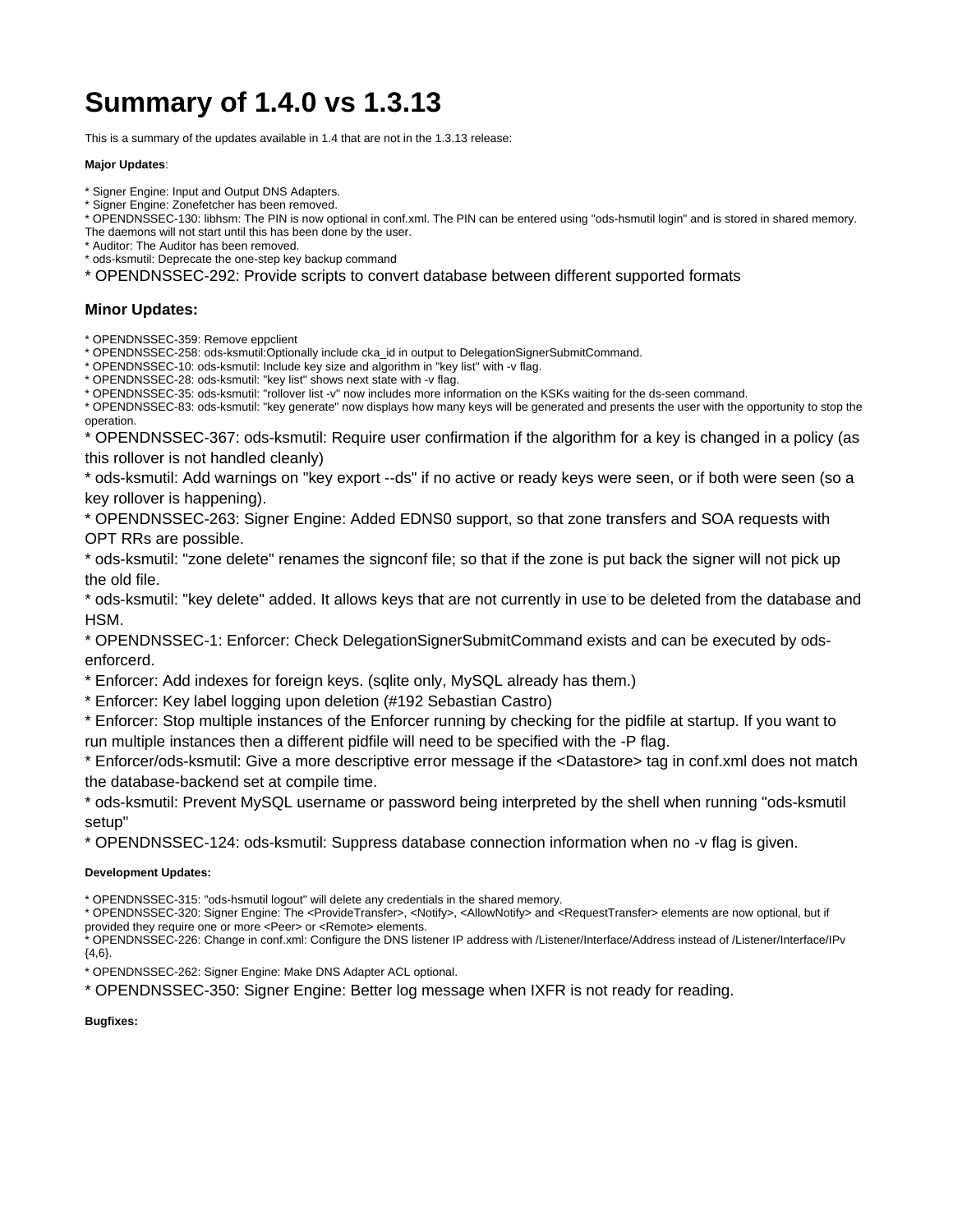# **Summary of 1.4.0 vs 1.3.13**

This is a summary of the updates available in 1.4 that are not in the 1.3.13 release:

#### **Major Updates**:

- \* Signer Engine: Input and Output DNS Adapters.
- \* Signer Engine: Zonefetcher has been removed.

\* OPENDNSSEC-130: libhsm: The PIN is now optional in conf.xml. The PIN can be entered using "ods-hsmutil login" and is stored in shared memory.

The daemons will not start until this has been done by the user.

\* Auditor: The Auditor has been removed.

\* ods-ksmutil: Deprecate the one-step key backup command

\* OPENDNSSEC-292: Provide scripts to convert database between different supported formats

## **Minor Updates:**

\* OPENDNSSEC-359: Remove eppclient

\* OPENDNSSEC-258: ods-ksmutil:Optionally include cka\_id in output to DelegationSignerSubmitCommand.

\* OPENDNSSEC-10: ods-ksmutil: Include key size and algorithm in "key list" with -v flag.

\* OPENDNSSEC-28: ods-ksmutil: "key list" shows next state with -v flag.

\* OPENDNSSEC-35: ods-ksmutil: "rollover list -v" now includes more information on the KSKs waiting for the ds-seen command.

\* OPENDNSSEC-83: ods-ksmutil: "key generate" now displays how many keys will be generated and presents the user with the opportunity to stop the operation.

\* OPENDNSSEC-367: ods-ksmutil: Require user confirmation if the algorithm for a key is changed in a policy (as this rollover is not handled cleanly)

\* ods-ksmutil: Add warnings on "key export --ds" if no active or ready keys were seen, or if both were seen (so a key rollover is happening).

\* OPENDNSSEC-263: Signer Engine: Added EDNS0 support, so that zone transfers and SOA requests with OPT RRs are possible.

\* ods-ksmutil: "zone delete" renames the signconf file; so that if the zone is put back the signer will not pick up the old file.

\* ods-ksmutil: "key delete" added. It allows keys that are not currently in use to be deleted from the database and HSM.

\* OPENDNSSEC-1: Enforcer: Check DelegationSignerSubmitCommand exists and can be executed by odsenforcerd.

\* Enforcer: Add indexes for foreign keys. (sqlite only, MySQL already has them.)

\* Enforcer: Key label logging upon deletion (#192 Sebastian Castro)

\* Enforcer: Stop multiple instances of the Enforcer running by checking for the pidfile at startup. If you want to run multiple instances then a different pidfile will need to be specified with the -P flag.

\* Enforcer/ods-ksmutil: Give a more descriptive error message if the <Datastore> tag in conf.xml does not match the database-backend set at compile time.

\* ods-ksmutil: Prevent MySQL username or password being interpreted by the shell when running "ods-ksmutil setup"

\* OPENDNSSEC-124: ods-ksmutil: Suppress database connection information when no -v flag is given.

## **Development Updates:**

\* OPENDNSSEC-315: "ods-hsmutil logout" will delete any credentials in the shared memory.

\* OPENDNSSEC-320: Signer Engine: The <ProvideTransfer>, <Notify>, <AllowNotify> and <RequestTransfer> elements are now optional, but if provided they require one or more <Peer> or <Remote> elements.

\* OPENDNSSEC-226: Change in conf.xml: Configure the DNS listener IP address with /Listener/Interface/Address instead of /Listener/Interface/IPv {4,6}.

\* OPENDNSSEC-262: Signer Engine: Make DNS Adapter ACL optional.

\* OPENDNSSEC-350: Signer Engine: Better log message when IXFR is not ready for reading.

## **Bugfixes:**